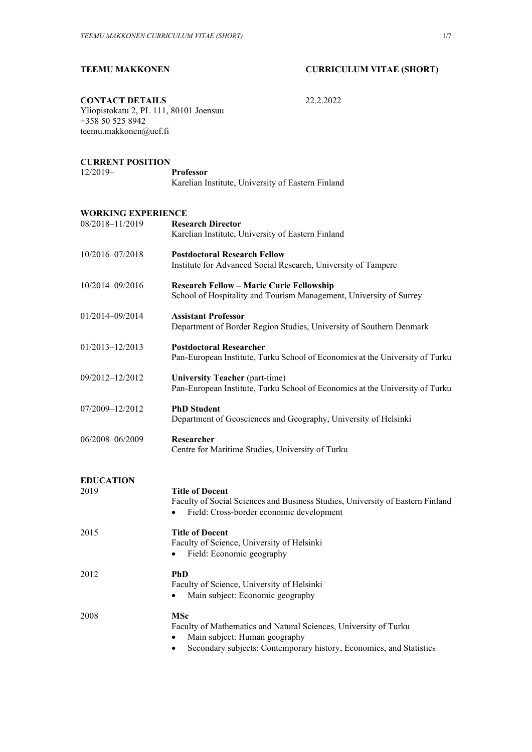# **TEEMU MAKKONEN CURRICULUM VITAE (SHORT)**

**CONTACT DETAILS** 22.2.2022

Yliopistokatu 2, PL 111, 80101 Joensuu +358 50 525 8942 teemu.makkonen@uef.fi

### **CURRENT POSITION**

12/2019– **Professor**

| <b>Professor</b> |                                                   |
|------------------|---------------------------------------------------|
|                  | Karelian Institute, University of Eastern Finland |

### **WORKING EXPERIENCE**

| 08/2018-11/2019          | <b>Research Director</b><br>Karelian Institute, University of Eastern Finland                                                                                                               |
|--------------------------|---------------------------------------------------------------------------------------------------------------------------------------------------------------------------------------------|
| 10/2016-07/2018          | <b>Postdoctoral Research Fellow</b><br>Institute for Advanced Social Research, University of Tampere                                                                                        |
| 10/2014-09/2016          | <b>Research Fellow - Marie Curie Fellowship</b><br>School of Hospitality and Tourism Management, University of Surrey                                                                       |
| 01/2014-09/2014          | <b>Assistant Professor</b><br>Department of Border Region Studies, University of Southern Denmark                                                                                           |
| 01/2013-12/2013          | <b>Postdoctoral Researcher</b><br>Pan-European Institute, Turku School of Economics at the University of Turku                                                                              |
| 09/2012-12/2012          | <b>University Teacher (part-time)</b><br>Pan-European Institute, Turku School of Economics at the University of Turku                                                                       |
| 07/2009-12/2012          | <b>PhD Student</b><br>Department of Geosciences and Geography, University of Helsinki                                                                                                       |
| 06/2008-06/2009          | Researcher<br>Centre for Maritime Studies, University of Turku                                                                                                                              |
| <b>EDUCATION</b><br>2019 | <b>Title of Docent</b><br>Faculty of Social Sciences and Business Studies, University of Eastern Finland<br>Field: Cross-border economic development                                        |
| 2015                     | <b>Title of Docent</b><br>Faculty of Science, University of Helsinki<br>Field: Economic geography                                                                                           |
| 2012                     | <b>PhD</b><br>Faculty of Science, University of Helsinki<br>Main subject: Economic geography<br>٠                                                                                           |
| 2008                     | <b>MSc</b><br>Faculty of Mathematics and Natural Sciences, University of Turku<br>Main subject: Human geography<br>Secondary subjects: Contemporary history, Economics, and Statistics<br>٠ |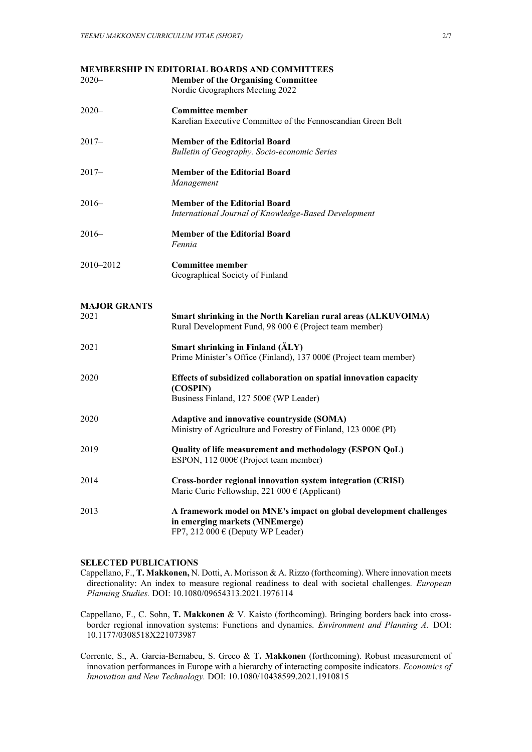| $2020 -$                    | <b>MEMBERSHIP IN EDITORIAL BOARDS AND COMMITTEES</b><br><b>Member of the Organising Committee</b><br>Nordic Geographers Meeting 2022          |
|-----------------------------|-----------------------------------------------------------------------------------------------------------------------------------------------|
| $2020 -$                    | <b>Committee member</b><br>Karelian Executive Committee of the Fennoscandian Green Belt                                                       |
| $2017-$                     | <b>Member of the Editorial Board</b><br>Bulletin of Geography. Socio-economic Series                                                          |
| $2017-$                     | <b>Member of the Editorial Board</b><br>Management                                                                                            |
| $2016-$                     | <b>Member of the Editorial Board</b><br>International Journal of Knowledge-Based Development                                                  |
| $2016-$                     | <b>Member of the Editorial Board</b><br>Fennia                                                                                                |
| 2010-2012                   | <b>Committee member</b><br>Geographical Society of Finland                                                                                    |
| <b>MAJOR GRANTS</b><br>2021 | Smart shrinking in the North Karelian rural areas (ALKUVOIMA)<br>Rural Development Fund, 98 000 $\epsilon$ (Project team member)              |
| 2021                        | Smart shrinking in Finland (ÄLY)<br>Prime Minister's Office (Finland), 137 000€ (Project team member)                                         |
| 2020                        | Effects of subsidized collaboration on spatial innovation capacity<br>(COSPIN)<br>Business Finland, 127 500€ (WP Leader)                      |
| 2020                        | Adaptive and innovative countryside (SOMA)<br>Ministry of Agriculture and Forestry of Finland, 123 000€ (PI)                                  |
| 2019                        | Quality of life measurement and methodology (ESPON QoL)<br>ESPON, 112 000€ (Project team member)                                              |
| 2014                        | Cross-border regional innovation system integration (CRISI)<br>Marie Curie Fellowship, 221 000 $\epsilon$ (Applicant)                         |
| 2013                        | A framework model on MNE's impact on global development challenges<br>in emerging markets (MNEmerge)<br>FP7, 212 000 $\in$ (Deputy WP Leader) |

## **SELECTED PUBLICATIONS**

- Cappellano, F., **T. Makkonen,** N. Dotti, A. Morisson & A. Rizzo (forthcoming). Where innovation meets directionality: An index to measure regional readiness to deal with societal challenges. *European Planning Studies.* DOI: 10.1080/09654313.2021.1976114
- Cappellano, F., C. Sohn, **T. Makkonen** & V. Kaisto (forthcoming). Bringing borders back into crossborder regional innovation systems: Functions and dynamics. *Environment and Planning A.* DOI: 10.1177/0308518X221073987
- Corrente, S., A. Garcia-Bernabeu, S. Greco & **T. Makkonen** (forthcoming). Robust measurement of innovation performances in Europe with a hierarchy of interacting composite indicators. *Economics of Innovation and New Technology.* DOI: 10.1080/10438599.2021.1910815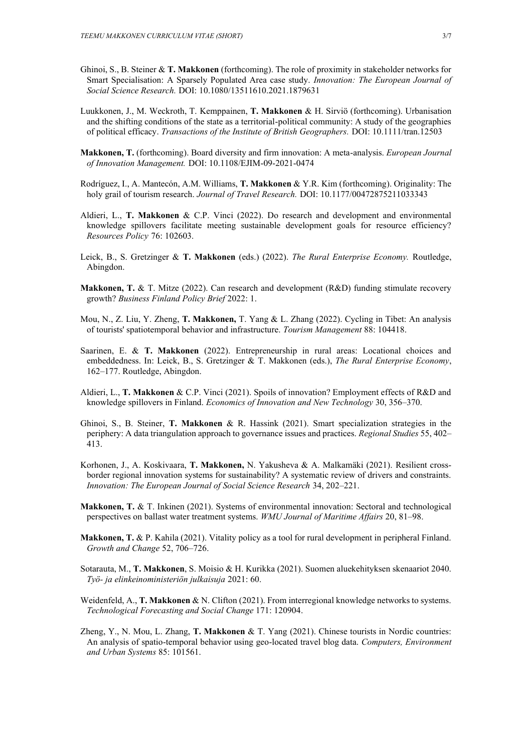- Ghinoi, S., B. Steiner & **T. Makkonen** (forthcoming). The role of proximity in stakeholder networks for Smart Specialisation: A Sparsely Populated Area case study. *Innovation: The European Journal of Social Science Research.* DOI: 10.1080/13511610.2021.1879631
- Luukkonen, J., M. Weckroth, T. Kemppainen, **T. Makkonen** & H. Sirviö (forthcoming). Urbanisation and the shifting conditions of the state as a territorial-political community: A study of the geographies of political efficacy. *Transactions of the Institute of British Geographers.* DOI: 10.1111/tran.12503
- **Makkonen, T.** (forthcoming). Board diversity and firm innovation: A meta-analysis. *European Journal of Innovation Management.* DOI: 10.1108/EJIM-09-2021-0474
- Rodríguez, I., A. Mantecón, A.M. Williams, **T. Makkonen** & Y.R. Kim (forthcoming). Originality: The holy grail of tourism research. *Journal of Travel Research.* DOI: 10.1177/00472875211033343
- Aldieri, L., **T. Makkonen** & C.P. Vinci (2022). Do research and development and environmental knowledge spillovers facilitate meeting sustainable development goals for resource efficiency? *Resources Policy* 76: 102603.
- Leick, B., S. Gretzinger & **T. Makkonen** (eds.) (2022). *The Rural Enterprise Economy.* Routledge, Abingdon.
- **Makkonen, T.** & T. Mitze (2022). Can research and development (R&D) funding stimulate recovery growth? *Business Finland Policy Brief* 2022: 1.
- Mou, N., Z. Liu, Y. Zheng, **T. Makkonen,** T. Yang & L. Zhang (2022). Cycling in Tibet: An analysis of tourists' spatiotemporal behavior and infrastructure. *Tourism Management* 88: 104418.
- Saarinen, E. & **T. Makkonen** (2022). Entrepreneurship in rural areas: Locational choices and embeddedness. In: Leick, B., S. Gretzinger & T. Makkonen (eds.), *The Rural Enterprise Economy*, 162–177. Routledge, Abingdon.
- Aldieri, L., **T. Makkonen** & C.P. Vinci (2021). Spoils of innovation? Employment effects of R&D and knowledge spillovers in Finland. *Economics of Innovation and New Technology* 30, 356–370.
- Ghinoi, S., B. Steiner, **T. Makkonen** & R. Hassink (2021). Smart specialization strategies in the periphery: A data triangulation approach to governance issues and practices. *Regional Studies* 55, 402– 413.
- Korhonen, J., A. Koskivaara, **T. Makkonen,** N. Yakusheva & A. Malkamäki (2021). Resilient crossborder regional innovation systems for sustainability? A systematic review of drivers and constraints. *Innovation: The European Journal of Social Science Research* 34, 202–221.
- **Makkonen, T.** & T. Inkinen (2021). Systems of environmental innovation: Sectoral and technological perspectives on ballast water treatment systems. *WMU Journal of Maritime Affairs* 20, 81–98.
- **Makkonen, T.** & P. Kahila (2021). Vitality policy as a tool for rural development in peripheral Finland. *Growth and Change* 52, 706–726.
- Sotarauta, M., **T. Makkonen**, S. Moisio & H. Kurikka (2021). Suomen aluekehityksen skenaariot 2040. *Työ- ja elinkeinoministeriön julkaisuja* 2021: 60.
- Weidenfeld, A., **T. Makkonen** & N. Clifton (2021). From interregional knowledge networks to systems. *Technological Forecasting and Social Change* 171: 120904.
- Zheng, Y., N. Mou, L. Zhang, **T. Makkonen** & T. Yang (2021). Chinese tourists in Nordic countries: An analysis of spatio-temporal behavior using geo-located travel blog data. *Computers, Environment and Urban Systems* 85: 101561.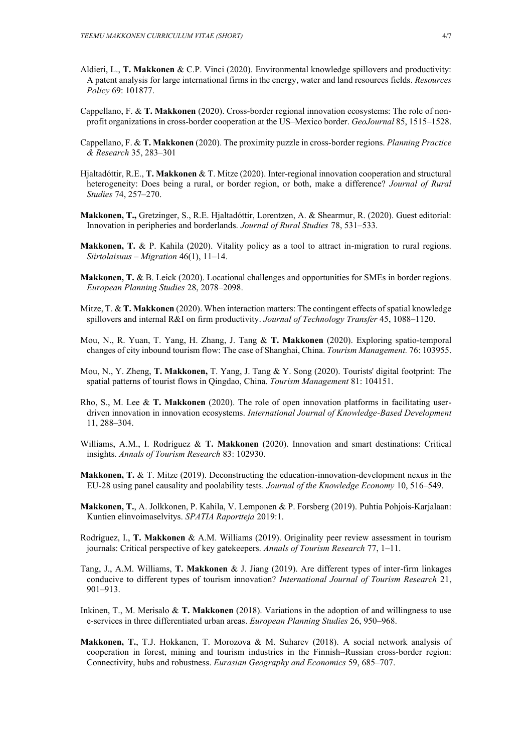- Aldieri, L., **T. Makkonen** & C.P. Vinci (2020). Environmental knowledge spillovers and productivity: A patent analysis for large international firms in the energy, water and land resources fields. *Resources Policy* 69: 101877.
- Cappellano, F. & **T. Makkonen** (2020). Cross-border regional innovation ecosystems: The role of nonprofit organizations in cross-border cooperation at the US–Mexico border. *GeoJournal* 85, 1515–1528.
- Cappellano, F. & **T. Makkonen** (2020). The proximity puzzle in cross-border regions. *Planning Practice & Research* 35, 283–301
- Hjaltadóttir, R.E., **T. Makkonen** & T. Mitze (2020). Inter-regional innovation cooperation and structural heterogeneity: Does being a rural, or border region, or both, make a difference? *Journal of Rural Studies* 74, 257–270.
- **Makkonen, T.,** Gretzinger, S., R.E. Hjaltadóttir, Lorentzen, A. & Shearmur, R. (2020). Guest editorial: Innovation in peripheries and borderlands. *Journal of Rural Studies* 78, 531–533.
- **Makkonen, T.** & P. Kahila (2020). Vitality policy as a tool to attract in-migration to rural regions. *Siirtolaisuus – Migration* 46(1), 11–14.
- **Makkonen, T.** & B. Leick (2020). Locational challenges and opportunities for SMEs in border regions. *European Planning Studies* 28, 2078–2098.
- Mitze, T. & **T. Makkonen** (2020). When interaction matters: The contingent effects of spatial knowledge spillovers and internal R&I on firm productivity. *Journal of Technology Transfer* 45, 1088–1120.
- Mou, N., R. Yuan, T. Yang, H. Zhang, J. Tang & **T. Makkonen** (2020). Exploring spatio-temporal changes of city inbound tourism flow: The case of Shanghai, China. *Tourism Management.* 76: 103955.
- Mou, N., Y. Zheng, **T. Makkonen,** T. Yang, J. Tang & Y. Song (2020). Tourists' digital footprint: The spatial patterns of tourist flows in Qingdao, China. *Tourism Management* 81: 104151.
- Rho, S., M. Lee & **T. Makkonen** (2020). The role of open innovation platforms in facilitating userdriven innovation in innovation ecosystems. *International Journal of Knowledge-Based Development* 11, 288–304.
- Williams, A.M., I. Rodríguez & **T. Makkonen** (2020). Innovation and smart destinations: Critical insights. *Annals of Tourism Research* 83: 102930.
- **Makkonen, T.** & T. Mitze (2019). Deconstructing the education-innovation-development nexus in the EU-28 using panel causality and poolability tests. *Journal of the Knowledge Economy* 10, 516–549.
- **Makkonen, T.**, A. Jolkkonen, P. Kahila, V. Lemponen & P. Forsberg (2019). Puhtia Pohjois-Karjalaan: Kuntien elinvoimaselvitys. *SPATIA Raportteja* 2019:1.
- Rodríguez, I., **T. Makkonen** & A.M. Williams (2019). Originality peer review assessment in tourism journals: Critical perspective of key gatekeepers. *Annals of Tourism Research* 77, 1–11.
- Tang, J., A.M. Williams, **T. Makkonen** & J. Jiang (2019). Are different types of inter-firm linkages conducive to different types of tourism innovation? *International Journal of Tourism Research* 21, 901–913.
- Inkinen, T., M. Merisalo & **T. Makkonen** (2018). Variations in the adoption of and willingness to use e-services in three differentiated urban areas. *European Planning Studies* 26, 950–968.
- **Makkonen, T.**, T.J. Hokkanen, T. Morozova & M. Suharev (2018). A social network analysis of cooperation in forest, mining and tourism industries in the Finnish–Russian cross-border region: Connectivity, hubs and robustness. *Eurasian Geography and Economics* 59, 685–707.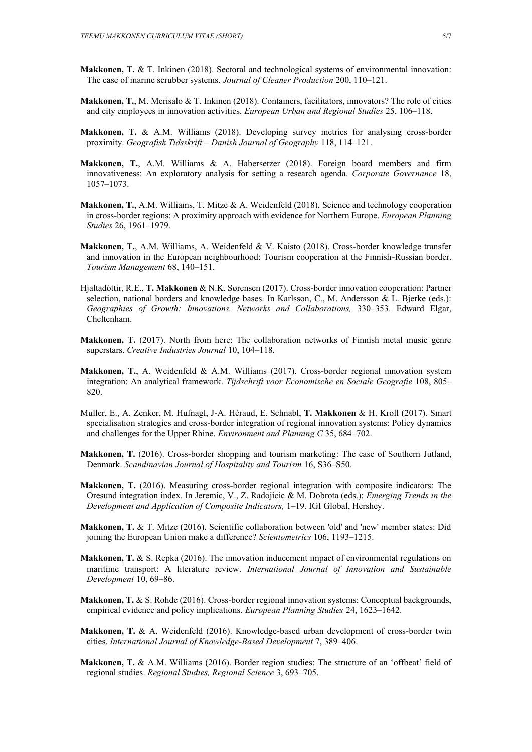- **Makkonen, T. & T.** Inkinen (2018). Sectoral and technological systems of environmental innovation: The case of marine scrubber systems. *Journal of Cleaner Production* 200, 110–121.
- **Makkonen, T.**, M. Merisalo & T. Inkinen (2018). Containers, facilitators, innovators? The role of cities and city employees in innovation activities. *European Urban and Regional Studies* 25, 106–118.
- **Makkonen, T.** & A.M. Williams (2018). Developing survey metrics for analysing cross-border proximity. *Geografisk Tidsskrift – Danish Journal of Geography* 118, 114–121.
- **Makkonen, T.**, A.M. Williams & A. Habersetzer (2018). Foreign board members and firm innovativeness: An exploratory analysis for setting a research agenda. *Corporate Governance* 18, 1057–1073.
- **Makkonen, T.**, A.M. Williams, T. Mitze & A. Weidenfeld (2018). Science and technology cooperation in cross-border regions: A proximity approach with evidence for Northern Europe. *European Planning Studies* 26, 1961–1979.
- **Makkonen, T.**, A.M. Williams, A. Weidenfeld & V. Kaisto (2018). Cross-border knowledge transfer and innovation in the European neighbourhood: Tourism cooperation at the Finnish-Russian border. *Tourism Management* 68, 140–151.
- Hjaltadóttir, R.E., **T. Makkonen** & N.K. Sørensen (2017). Cross-border innovation cooperation: Partner selection, national borders and knowledge bases. In Karlsson, C., M. Andersson & L. Bjerke (eds.): *Geographies of Growth: Innovations, Networks and Collaborations,* 330–353. Edward Elgar, Cheltenham.
- **Makkonen, T.** (2017). North from here: The collaboration networks of Finnish metal music genre superstars. *Creative Industries Journal* 10, 104–118.
- **Makkonen, T.**, A. Weidenfeld & A.M. Williams (2017). Cross-border regional innovation system integration: An analytical framework. *Tijdschrift voor Economische en Sociale Geografie* 108, 805– 820.
- Muller, E., A. Zenker, M. Hufnagl, J-A. Héraud, E. Schnabl, **T. Makkonen** & H. Kroll (2017). Smart specialisation strategies and cross-border integration of regional innovation systems: Policy dynamics and challenges for the Upper Rhine. *Environment and Planning C* 35, 684–702.
- **Makkonen, T.** (2016). Cross-border shopping and tourism marketing: The case of Southern Jutland, Denmark. *Scandinavian Journal of Hospitality and Tourism* 16, S36–S50.
- **Makkonen, T.** (2016). Measuring cross-border regional integration with composite indicators: The Oresund integration index. In Jeremic, V., Z. Radojicic & M. Dobrota (eds.): *Emerging Trends in the Development and Application of Composite Indicators,* 1–19. IGI Global, Hershey.
- **Makkonen, T.** & T. Mitze (2016). Scientific collaboration between 'old' and 'new' member states: Did joining the European Union make a difference? *Scientometrics* 106, 1193–1215.
- **Makkonen, T.** & S. Repka (2016). The innovation inducement impact of environmental regulations on maritime transport: A literature review. *International Journal of Innovation and Sustainable Development* 10, 69–86.
- **Makkonen, T.** & S. Rohde (2016). Cross-border regional innovation systems: Conceptual backgrounds, empirical evidence and policy implications. *European Planning Studies* 24, 1623–1642.
- **Makkonen, T.** & A. Weidenfeld (2016). Knowledge-based urban development of cross-border twin cities. *International Journal of Knowledge-Based Development* 7, 389–406.
- **Makkonen, T.** & A.M. Williams (2016). Border region studies: The structure of an 'offbeat' field of regional studies. *Regional Studies, Regional Science* 3, 693–705.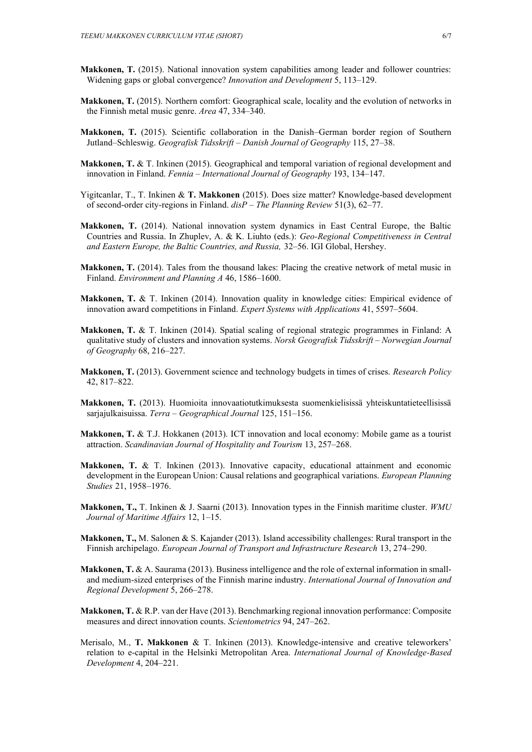- **Makkonen, T.** (2015). National innovation system capabilities among leader and follower countries: Widening gaps or global convergence? *Innovation and Development* 5, 113–129.
- **Makkonen, T.** (2015). Northern comfort: Geographical scale, locality and the evolution of networks in the Finnish metal music genre. *Area* 47, 334–340.
- **Makkonen, T.** (2015). Scientific collaboration in the Danish–German border region of Southern Jutland–Schleswig. *Geografisk Tidsskrift – Danish Journal of Geography* 115, 27–38.
- **Makkonen, T.** & T. Inkinen (2015). Geographical and temporal variation of regional development and innovation in Finland. *Fennia – International Journal of Geography* 193, 134–147.
- Yigitcanlar, T., T. Inkinen & **T. Makkonen** (2015). Does size matter? Knowledge-based development of second-order city-regions in Finland. *disP – The Planning Review* 51(3), 62–77.
- **Makkonen, T.** (2014). National innovation system dynamics in East Central Europe, the Baltic Countries and Russia. In Zhuplev, A. & K. Liuhto (eds.): *Geo-Regional Competitiveness in Central and Eastern Europe, the Baltic Countries, and Russia,* 32–56. IGI Global, Hershey.
- **Makkonen, T.** (2014). Tales from the thousand lakes: Placing the creative network of metal music in Finland. *Environment and Planning A* 46, 1586–1600.
- **Makkonen, T.** & T. Inkinen (2014). Innovation quality in knowledge cities: Empirical evidence of innovation award competitions in Finland. *Expert Systems with Applications* 41, 5597–5604.
- **Makkonen, T.** & T. Inkinen (2014). Spatial scaling of regional strategic programmes in Finland: A qualitative study of clusters and innovation systems. *Norsk Geografisk Tidsskrift – Norwegian Journal of Geography* 68, 216–227.
- **Makkonen, T.** (2013). Government science and technology budgets in times of crises. *Research Policy*  42, 817–822.
- **Makkonen, T.** (2013). Huomioita innovaatiotutkimuksesta suomenkielisissä yhteiskuntatieteellisissä sarjajulkaisuissa. *Terra – Geographical Journal* 125, 151–156.
- **Makkonen, T.** & T.J. Hokkanen (2013). ICT innovation and local economy: Mobile game as a tourist attraction. *Scandinavian Journal of Hospitality and Tourism* 13, 257–268.
- **Makkonen, T.** & T. Inkinen (2013). Innovative capacity, educational attainment and economic development in the European Union: Causal relations and geographical variations. *European Planning Studies* 21, 1958–1976.
- **Makkonen, T.,** T. Inkinen & J. Saarni (2013). Innovation types in the Finnish maritime cluster. *WMU Journal of Maritime Affairs* 12, 1–15.
- **Makkonen, T.,** M. Salonen & S. Kajander (2013). Island accessibility challenges: Rural transport in the Finnish archipelago. *European Journal of Transport and Infrastructure Research* 13, 274–290.
- **Makkonen, T.** & A. Saurama (2013). Business intelligence and the role of external information in smalland medium-sized enterprises of the Finnish marine industry. *International Journal of Innovation and Regional Development* 5, 266–278.
- **Makkonen, T.** & R.P. van der Have (2013). Benchmarking regional innovation performance: Composite measures and direct innovation counts. *Scientometrics* 94, 247–262.
- Merisalo, M., **T. Makkonen** & T. Inkinen (2013). Knowledge-intensive and creative teleworkers' relation to e-capital in the Helsinki Metropolitan Area. *International Journal of Knowledge-Based Development* 4, 204–221.